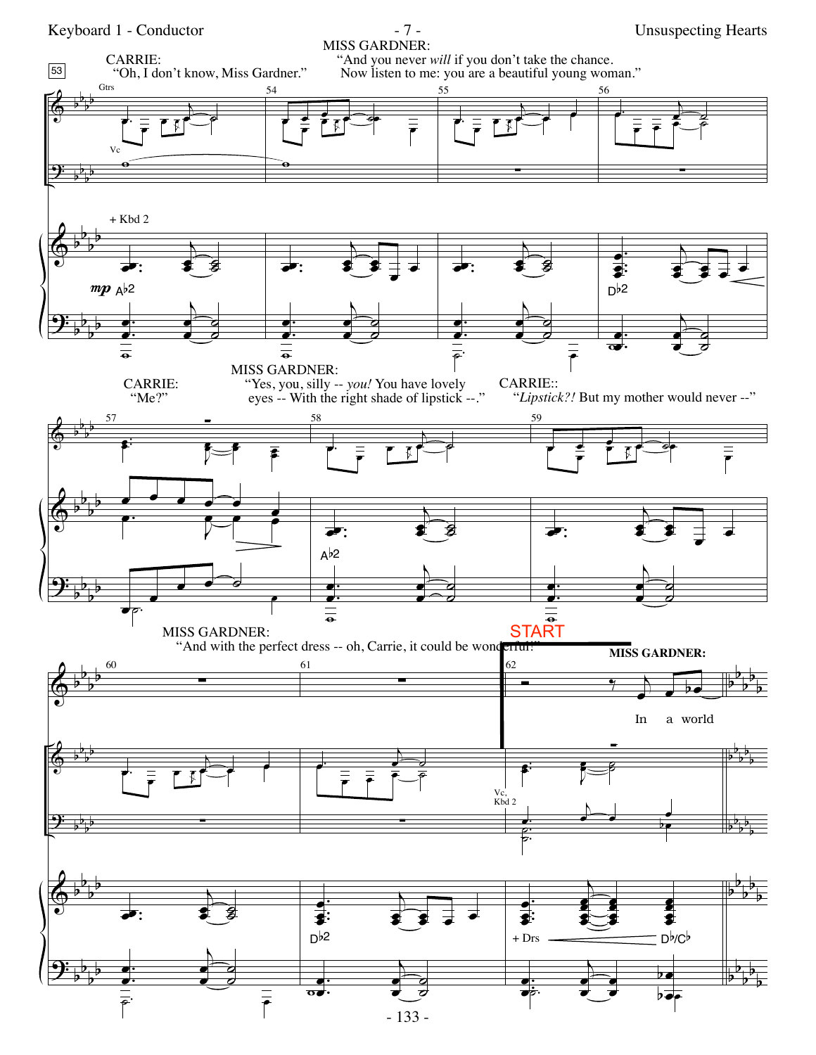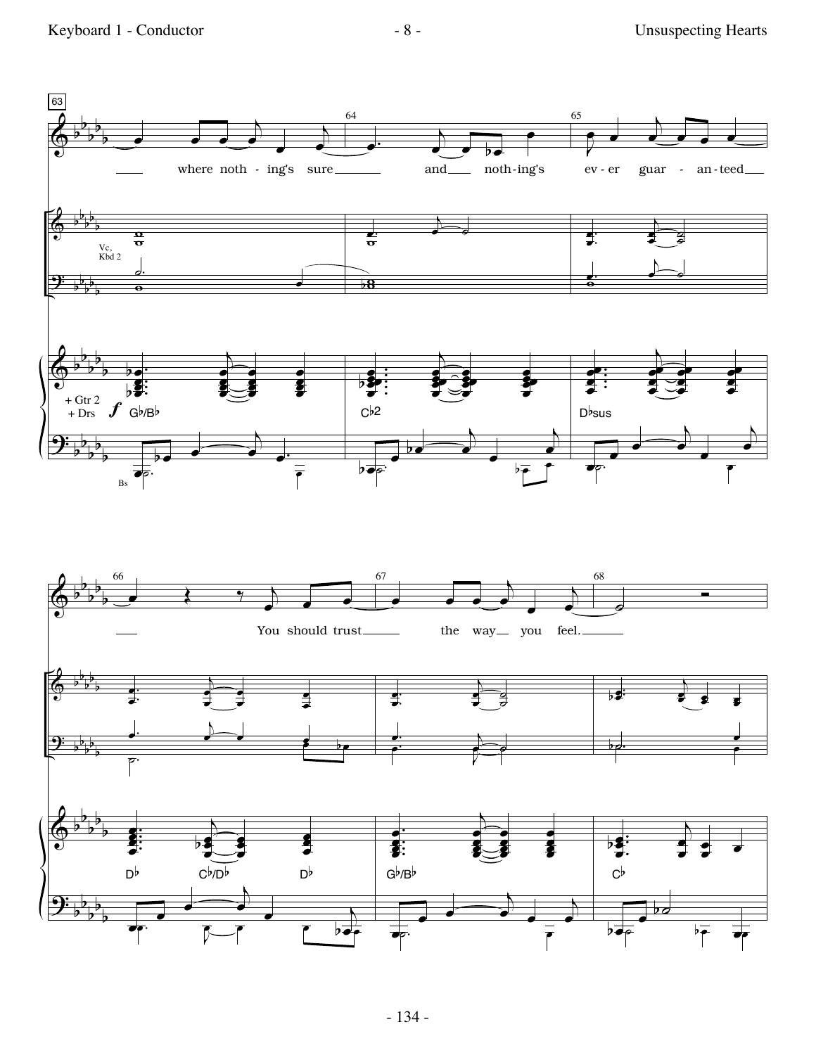Keyboard 1 - Conductor - 8 - The Unsuspecting Hearts

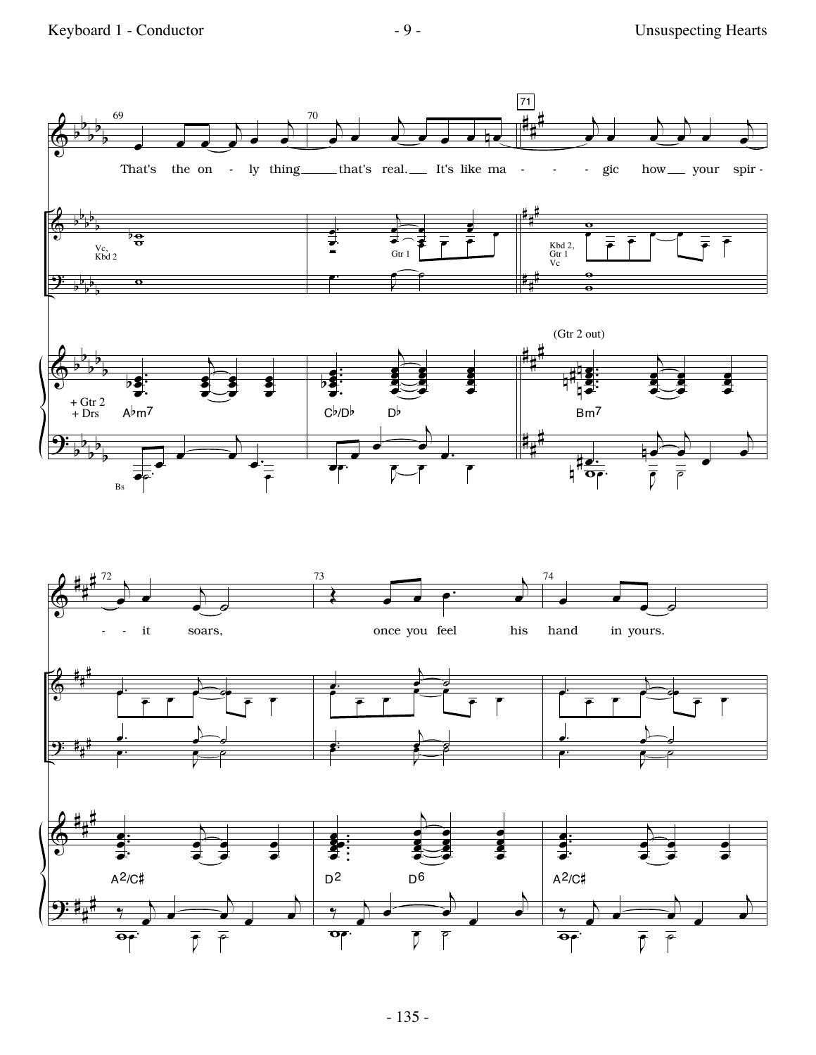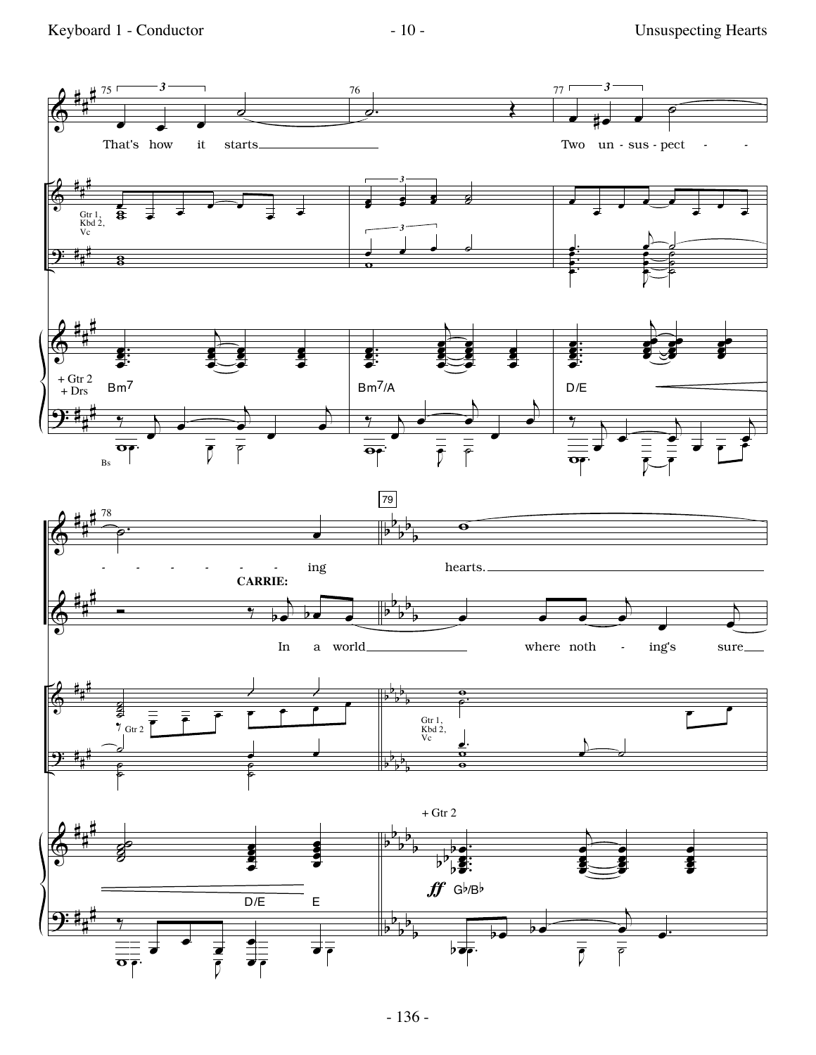